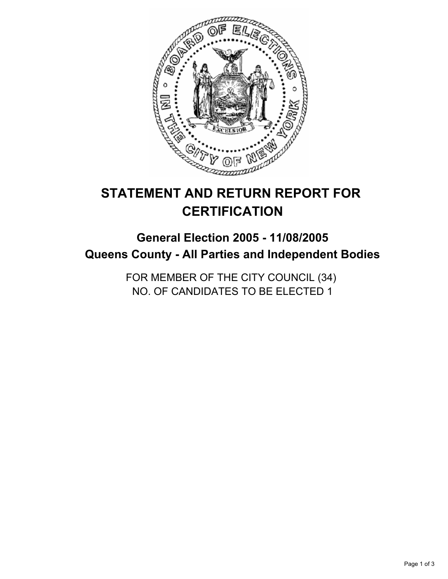

# **STATEMENT AND RETURN REPORT FOR CERTIFICATION**

## **General Election 2005 - 11/08/2005 Queens County - All Parties and Independent Bodies**

FOR MEMBER OF THE CITY COUNCIL (34) NO. OF CANDIDATES TO BE ELECTED 1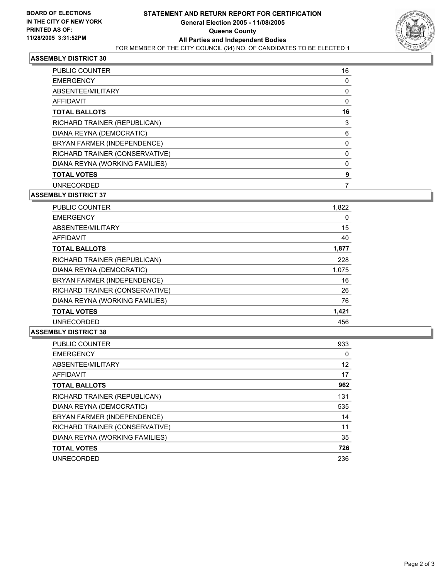

#### **ASSEMBLY DISTRICT 30**

| <b>PUBLIC COUNTER</b>          | 16 |
|--------------------------------|----|
| <b>EMERGENCY</b>               |    |
| ABSENTEE/MILITARY              |    |
| AFFIDAVIT                      |    |
| <b>TOTAL BALLOTS</b>           | 16 |
| RICHARD TRAINER (REPUBLICAN)   |    |
| DIANA REYNA (DEMOCRATIC)       | 6  |
| BRYAN FARMER (INDEPENDENCE)    |    |
| RICHARD TRAINER (CONSERVATIVE) |    |
| DIANA REYNA (WORKING FAMILIES) |    |
| <b>TOTAL VOTES</b>             |    |
| <b>UNRECORDED</b>              |    |

#### **ASSEMBLY DISTRICT 37**

| <b>PUBLIC COUNTER</b>          | 1,822 |  |
|--------------------------------|-------|--|
| <b>EMERGENCY</b>               | 0     |  |
| ABSENTEE/MILITARY              | 15    |  |
| <b>AFFIDAVIT</b>               | 40    |  |
| <b>TOTAL BALLOTS</b>           | 1,877 |  |
| RICHARD TRAINER (REPUBLICAN)   | 228   |  |
| DIANA REYNA (DEMOCRATIC)       | 1,075 |  |
| BRYAN FARMER (INDEPENDENCE)    | 16    |  |
| RICHARD TRAINER (CONSERVATIVE) | 26    |  |
| DIANA REYNA (WORKING FAMILIES) | 76    |  |
| <b>TOTAL VOTES</b>             | 1,421 |  |
| <b>UNRECORDED</b>              | 456   |  |

#### **ASSEMBLY DISTRICT 38**

| PUBLIC COUNTER                 | 933 |
|--------------------------------|-----|
| <b>EMERGENCY</b>               | 0   |
| ABSENTEE/MILITARY              | 12  |
| AFFIDAVIT                      | 17  |
| <b>TOTAL BALLOTS</b>           | 962 |
| RICHARD TRAINER (REPUBLICAN)   | 131 |
| DIANA REYNA (DEMOCRATIC)       | 535 |
| BRYAN FARMER (INDEPENDENCE)    | 14  |
| RICHARD TRAINER (CONSERVATIVE) | 11  |
| DIANA REYNA (WORKING FAMILIES) | 35  |
| <b>TOTAL VOTES</b>             | 726 |
| <b>UNRECORDED</b>              | 236 |